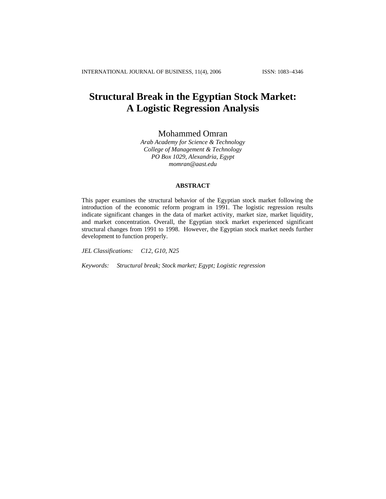# **Structural Break in the Egyptian Stock Market: A Logistic Regression Analysis**

# Mohammed Omran

*Arab Academy for Science & Technology College of Management & Technology PO Box 1029, Alexandria, Egypt [momran@aast.edu](mailto:momran@aast.edu)*

#### **ABSTRACT**

This paper examines the structural behavior of the Egyptian stock market following the introduction of the economic reform program in 1991. The logistic regression results indicate significant changes in the data of market activity, market size, market liquidity, and market concentration. Overall, the Egyptian stock market experienced significant structural changes from 1991 to 1998. However, the Egyptian stock market needs further development to function properly.

*JEL Classifications: C12, G10, N25* 

*Keywords: Structural break; Stock market; Egypt; Logistic regression*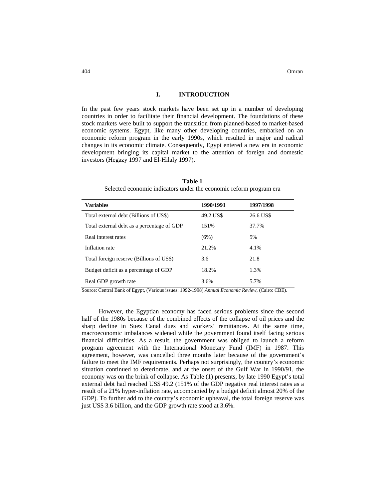404 Omran

#### **I. INTRODUCTION**

In the past few years stock markets have been set up in a number of developing countries in order to facilitate their financial development. The foundations of these stock markets were built to support the transition from planned-based to market-based economic systems. Egypt, like many other developing countries, embarked on an economic reform program in the early 1990s, which resulted in major and radical changes in its economic climate. Consequently, Egypt entered a new era in economic development bringing its capital market to the attention of foreign and domestic investors (Hegazy 1997 and El-Hilaly 1997).

| <b>Variables</b>                           | 1990/1991 | 1997/1998 |
|--------------------------------------------|-----------|-----------|
| Total external debt (Billions of US\$)     | 49.2 US\$ | 26.6 US\$ |
| Total external debt as a percentage of GDP | 151%      | 37.7%     |
| Real interest rates                        | (6%)      | 5%        |
| Inflation rate                             | 21.2%     | 4.1%      |
| Total foreign reserve (Billions of US\$)   | 3.6       | 21.8      |
| Budget deficit as a percentage of GDP      | 18.2%     | 1.3%      |
| Real GDP growth rate                       | 3.6%      | 5.7%      |

**Table 1**  Selected economic indicators under the economic reform program era

Source: Central Bank of Egypt, (Various issues: 1992-1998) *Annual Economic Review*, (Cairo: CBE).

However, the Egyptian economy has faced serious problems since the second half of the 1980s because of the combined effects of the collapse of oil prices and the sharp decline in Suez Canal dues and workers' remittances. At the same time, macroeconomic imbalances widened while the government found itself facing serious financial difficulties. As a result, the government was obliged to launch a reform program agreement with the International Monetary Fund (IMF) in 1987. This agreement, however, was cancelled three months later because of the government's failure to meet the IMF requirements. Perhaps not surprisingly, the country's economic situation continued to deteriorate, and at the onset of the Gulf War in 1990/91, the economy was on the brink of collapse. As Table (1) presents, by late 1990 Egypt's total external debt had reached US\$ 49.2 (151% of the GDP negative real interest rates as a result of a 21% hyper-inflation rate, accompanied by a budget deficit almost 20% of the GDP). To further add to the country's economic upheaval, the total foreign reserve was just US\$ 3.6 billion, and the GDP growth rate stood at 3.6%.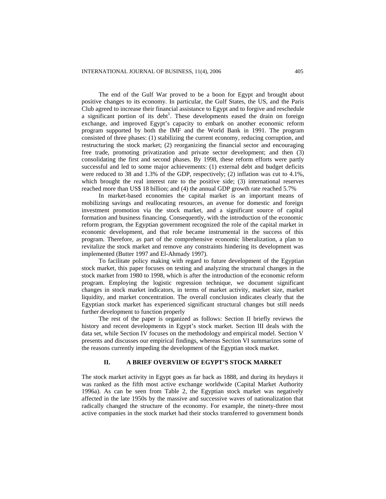The end of the Gulf War proved to be a boon for Egypt and brought about positive changes to its economy. In particular, the Gulf States, the US, and the Paris Club agreed to increase their financial assistance to Egypt and to forgive and reschedule a significant portion of its debt<sup>1</sup>. These developments eased the drain on foreign exchange, and improved Egypt's capacity to embark on another economic reform program supported by both the IMF and the World Bank in 1991. The program consisted of three phases: (1) stabilizing the current economy, reducing corruption, and restructuring the stock market; (2) reorganizing the financial sector and encouraging free trade, promoting privatization and private sector development; and then (3) consolidating the first and second phases. By 1998, these reform efforts were partly successful and led to some major achievements: (1) external debt and budget deficits were reduced to 38 and 1.3% of the GDP, respectively; (2) inflation was cut to 4.1%, which brought the real interest rate to the positive side; (3) international reserves reached more than US\$ 18 billion; and (4) the annual GDP growth rate reached 5.7%

In market-based economies the capital market is an important means of mobilizing savings and reallocating resources, an avenue for domestic and foreign investment promotion via the stock market, and a significant source of capital formation and business financing. Consequently, with the introduction of the economic reform program, the Egyptian government recognized the role of the capital market in economic development, and that role became instrumental in the success of this program. Therefore, as part of the comprehensive economic liberalization, a plan to revitalize the stock market and remove any constraints hindering its development was implemented (Butter 1997 and El-Ahmady 1997).

To facilitate policy making with regard to future development of the Egyptian stock market, this paper focuses on testing and analyzing the structural changes in the stock market from 1980 to 1998, which is after the introduction of the economic reform program. Employing the logistic regression technique, we document significant changes in stock market indicators, in terms of market activity, market size, market liquidity, and market concentration. The overall conclusion indicates clearly that the Egyptian stock market has experienced significant structural changes but still needs further development to function properly

The rest of the paper is organized as follows: Section II briefly reviews the history and recent developments in Egypt's stock market. Section III deals with the data set, while Section IV focuses on the methodology and empirical model. Section V presents and discusses our empirical findings, whereas Section VI summarizes some of the reasons currently impeding the development of the Egyptian stock market.

#### **II. A BRIEF OVERVIEW OF EGYPT'S STOCK MARKET**

The stock market activity in Egypt goes as far back as 1888, and during its heydays it was ranked as the fifth most active exchange worldwide (Capital Market Authority 1996a). As can be seen from Table 2, the Egyptian stock market was negatively affected in the late 1950s by the massive and successive waves of nationalization that radically changed the structure of the economy. For example, the ninety-three most active companies in the stock market had their stocks transferred to government bonds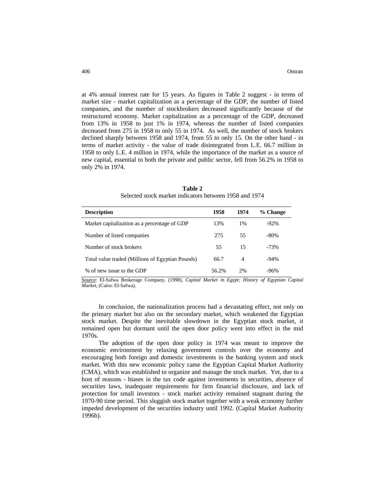at 4% annual interest rate for 15 years. As figures in Table 2 suggest - in terms of market size - market capitalization as a percentage of the GDP, the number of listed companies, and the number of stockbrokers decreased significantly because of the restructured economy. Market capitalization as a percentage of the GDP, decreased from 13% in 1958 to just 1% in 1974, whereas the number of listed companies decreased from 275 in 1958 to only 55 in 1974. As well, the number of stock brokers declined sharply between 1958 and 1974, from 55 to only 15. On the other hand - in terms of market activity - the value of trade disintegrated from L.E. 66.7 million in 1958 to only L.E. 4 million in 1974, while the importance of the market as a source of new capital, essential to both the private and public sector, fell from 56.2% in 1958 to only 2% in 1974.

| <b>Description</b>                               | 1958  | 1974 | % Change |
|--------------------------------------------------|-------|------|----------|
| Market capitalization as a percentage of GDP     | 13%   | 1%   | $-92%$   |
| Number of listed companies                       | 275   | 55   | $-80%$   |
| Number of stock brokers                          | 55    | 15   | $-73%$   |
| Total value traded (Millions of Egyptian Pounds) | 66.7  | 4    | $-94%$   |
| % of new issue to the GDP                        | 56.2% | 2%   | -96%     |

**Table 2**  Selected stock market indicators between 1958 and 1974

Source: El-Safwa Brokerage Company, (1998), *Capital Market in Egypt; History of Egyptian Capital Market*, (Cairo: El-Safwa).

 In conclusion, the nationalization process had a devastating effect, not only on the primary market but also on the secondary market, which weakened the Egyptian stock market. Despite the inevitable slowdown in the Egyptian stock market, it remained open but dormant until the open door policy went into effect in the mid 1970s.

 The adoption of the open door policy in 1974 was meant to improve the economic environment by relaxing government controls over the economy and encouraging both foreign and domestic investments in the banking system and stock market. With this new economic policy came the Egyptian Capital Market Authority (CMA), which was established to organize and manage the stock market. Yet, due to a host of reasons - biases in the tax code against investments in securities, absence of securities laws, inadequate requirements for firm financial disclosure, and lack of protection for small investors - stock market activity remained stagnant during the 1970-90 time period. This sluggish stock market together with a weak economy further impeded development of the securities industry until 1992. (Capital Market Authority 1996b).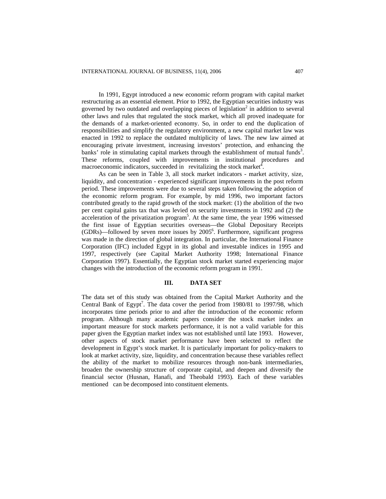In 1991, Egypt introduced a new economic reform program with capital market restructuring as an essential element. Prior to 1992, the Egyptian securities industry was governed by two outdated and overlapping pieces of legislation<sup>2</sup> in addition to several other laws and rules that regulated the stock market, which all proved inadequate for the demands of a market-oriented economy. So, in order to end the duplication of responsibilities and simplify the regulatory environment, a new capital market law was enacted in 1992 to replace the outdated multiplicity of laws. The new law aimed at encouraging private investment, increasing investors' protection, and enhancing the banks' role in stimulating capital markets through the establishment of mutual funds<sup>3</sup>. These reforms, coupled with improvements in institutional procedures and macroeconomic indicators, succeeded in revitalizing the stock market $\bar{A}$ .

 As can be seen in Table 3, all stock market indicators - market activity, size, liquidity, and concentration - experienced significant improvements in the post reform period. These improvements were due to several steps taken following the adoption of the economic reform program. For example, by mid 1996, two important factors contributed greatly to the rapid growth of the stock market: (1) the abolition of the two per cent capital gains tax that was levied on security investments in 1992 and (2) the acceleration of the privatization program<sup>5</sup>. At the same time, the year 1996 witnessed the first issue of Egyptian securities overseas—the Global Depositary Receipts  $(GDRs)$ —followed by seven more issues by  $2005^6$ . Furthermore, significant progress was made in the direction of global integration. In particular, the International Finance Corporation (IFC) included Egypt in its global and investable indices in 1995 and 1997, respectively (see Capital Market Authority 1998; International Finance Corporation 1997). Essentially, the Egyptian stock market started experiencing major changes with the introduction of the economic reform program in 1991.

#### **III. DATA SET**

The data set of this study was obtained from the Capital Market Authority and the Central Bank of Egypt<sup>7</sup>. The data cover the period from 1980/81 to 1997/98, which incorporates time periods prior to and after the introduction of the economic reform program. Although many academic papers consider the stock market index an important measure for stock markets performance, it is not a valid variable for this paper given the Egyptian market index was not established until late 1993. However, other aspects of stock market performance have been selected to reflect the development in Egypt's stock market. It is particularly important for policy-makers to look at market activity, size, liquidity, and concentration because these variables reflect the ability of the market to mobilize resources through non-bank intermediaries, broaden the ownership structure of corporate capital, and deepen and diversify the financial sector (Husnan, Hanafi, and Theobald 1993)*.* Each of these variables mentioned can be decomposed into constituent elements.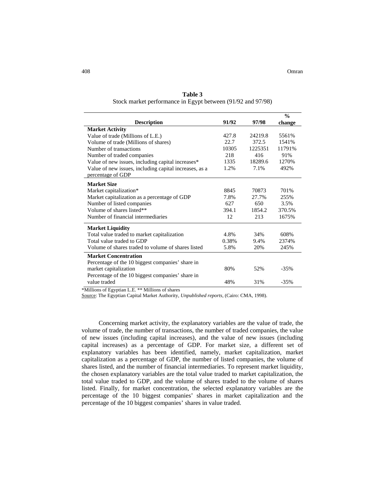| <b>Description</b>                                     | 91/92 | 97/98   | $\frac{0}{0}$<br>change |
|--------------------------------------------------------|-------|---------|-------------------------|
| <b>Market Activity</b>                                 |       |         |                         |
| Value of trade (Millions of L.E.)                      | 427.8 | 24219.8 | 5561%                   |
| Volume of trade (Millions of shares)                   | 22.7  | 372.5   | 1541%                   |
| Number of transactions                                 | 10305 | 1225351 | 11791%                  |
| Number of traded companies                             | 218   | 416     | 91%                     |
| Value of new issues, including capital increases*      | 1335  | 18289.6 | 1270\%                  |
| Value of new issues, including capital increases, as a | 1.2%  | 7.1%    | 492%                    |
| percentage of GDP                                      |       |         |                         |
| <b>Market Size</b>                                     |       |         |                         |
| Market capitalization*                                 | 8845  | 70873   | 701\%                   |
| Market capitalization as a percentage of GDP           | 7.8%  | 27.7%   | 255%                    |
| Number of listed companies                             | 627   | 650     | 3.5%                    |
| Volume of shares listed**                              | 394.1 | 1854.2  | 370.5%                  |
| Number of financial intermediaries                     | 12    | 213     | 1675%                   |
| <b>Market Liquidity</b>                                |       |         |                         |
| Total value traded to market capitalization            | 4.8%  | 34%     | 608%                    |
| Total value traded to GDP                              | 0.38% | 9.4%    | 2374%                   |
| Volume of shares traded to volume of shares listed     | 5.8%  | 20%     | 245%                    |
| <b>Market Concentration</b>                            |       |         |                         |
| Percentage of the 10 biggest companies' share in       |       |         |                         |
| market capitalization                                  | 80%   | 52%     | $-35%$                  |
| Percentage of the 10 biggest companies' share in       |       |         |                         |
| value traded                                           | 48%   | 31%     | $-35%$                  |

**Table 3**  Stock market performance in Egypt between (91/92 and 97/98)

\*Millions of Egyptian L.E. \*\* Millions of shares

Source: The Egyptian Capital Market Authority, *Unpublished reports*, (Cairo: CMA, 1998).

Concerning market activity, the explanatory variables are the value of trade, the volume of trade, the number of transactions, the number of traded companies, the value of new issues (including capital increases), and the value of new issues (including capital increases) as a percentage of GDP. For market size, a different set of explanatory variables has been identified, namely, market capitalization, market capitalization as a percentage of GDP, the number of listed companies, the volume of shares listed, and the number of financial intermediaries. To represent market liquidity, the chosen explanatory variables are the total value traded to market capitalization, the total value traded to GDP, and the volume of shares traded to the volume of shares listed. Finally, for market concentration, the selected explanatory variables are the percentage of the 10 biggest companies' shares in market capitalization and the percentage of the 10 biggest companies' shares in value traded.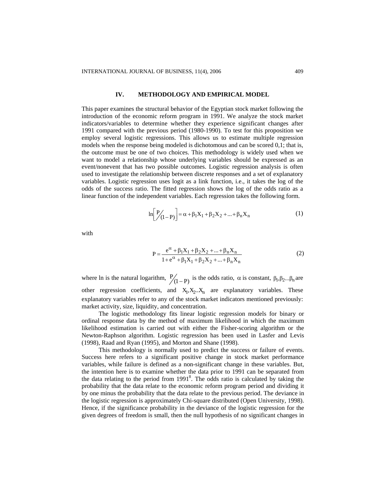#### **IV. METHODOLOGY AND EMPIRICAL MODEL**

This paper examines the structural behavior of the Egyptian stock market following the introduction of the economic reform program in 1991. We analyze the stock market indicators/variables to determine whether they experience significant changes after 1991 compared with the previous period (1980-1990). To test for this proposition we employ several logistic regressions. This allows us to estimate multiple regression models when the response being modeled is dichotomous and can be scored 0,1; that is, the outcome must be one of two choices. This methodology is widely used when we want to model a relationship whose underlying variables should be expressed as an event/nonevent that has two possible outcomes. Logistic regression analysis is often used to investigate the relationship between discrete responses and a set of explanatory variables. Logistic regression uses logit as a link function, i.e., it takes the log of the odds of the success ratio. The fitted regression shows the log of the odds ratio as a linear function of the independent variables. Each regression takes the following form.

$$
\ln \left[ \frac{P}{(1-P)} \right] = \alpha + \beta_1 X_1 + \beta_2 X_2 + ... + \beta_n X_n \tag{1}
$$

with

$$
P = \frac{e^{\alpha} + \beta_1 X_1 + \beta_2 X_2 + \dots + \beta_n X_n}{1 + e^{\alpha} + \beta_1 X_1 + \beta_2 X_2 + \dots + \beta_n X_n}
$$
(2)

where ln is the natural logarithm,  $\frac{P}{(1-P)}$  is the odds ratio,  $\alpha$  is constant,  $\beta_1, \beta_2...\beta_n$  are other regression coefficients, and  $X_1, X_2, X_n$  are explanatory variables. These explanatory variables refer to any of the stock market indicators mentioned previously: market activity, size, liquidity, and concentration.

The logistic methodology fits linear logistic regression models for binary or ordinal response data by the method of maximum likelihood in which the maximum likelihood estimation is carried out with either the Fisher-scoring algorithm or the Newton-Raphson algorithm. Logistic regression has been used in Lasfer and Levis (1998), Raad and Ryan (1995), and Morton and Shane (1998).

This methodology is normally used to predict the success or failure of events. Success here refers to a significant positive change in stock market performance variables, while failure is defined as a non-significant change in these variables. But, the intention here is to examine whether the data prior to 1991 can be separated from the data relating to the period from  $1991<sup>8</sup>$ . The odds ratio is calculated by taking the probability that the data relate to the economic reform program period and dividing it by one minus the probability that the data relate to the previous period. The deviance in the logistic regression is approximately Chi-square distributed (Open University, 1998). Hence, if the significance probability in the deviance of the logistic regression for the given degrees of freedom is small, then the null hypothesis of no significant changes in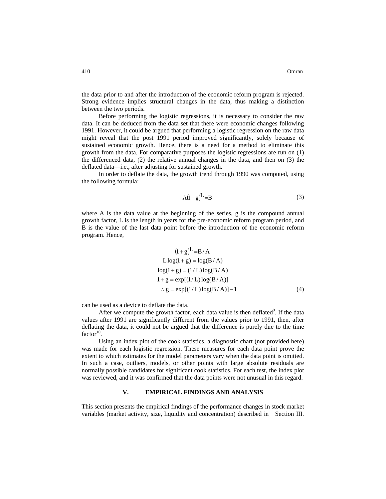the data prior to and after the introduction of the economic reform program is rejected. Strong evidence implies structural changes in the data, thus making a distinction between the two periods.

Before performing the logistic regressions, it is necessary to consider the raw data. It can be deduced from the data set that there were economic changes following 1991. However, it could be argued that performing a logistic regression on the raw data might reveal that the post 1991 period improved significantly, solely because of sustained economic growth. Hence, there is a need for a method to eliminate this growth from the data. For comparative purposes the logistic regressions are run on (1) the differenced data, (2) the relative annual changes in the data, and then on (3) the deflated data—i.e., after adjusting for sustained growth.

In order to deflate the data, the growth trend through 1990 was computed, using the following formula:

$$
A(1+g)^{\text{L}}=B\tag{3}
$$

where A is the data value at the beginning of the series, g is the compound annual growth factor, L is the length in years for the pre-economic reform program period, and B is the value of the last data point before the introduction of the economic reform program. Hence,

$$
(1+g)^{L} = B/A
$$
  
L log(1 + g) = log(B/A)  
log(1+ g) = (1/L) log(B/A)  
1+ g = exp[(1/L) log(B/A)]  
:. g = exp[(1/L) log(B/A)]-1 (4)

can be used as a device to deflate the data.

After we compute the growth factor, each data value is then deflated $9$ . If the data values after 1991 are significantly different from the values prior to 1991, then, after deflating the data, it could not be argued that the difference is purely due to the time factor $10$ .

Using an index plot of the cook statistics, a diagnostic chart (not provided here) was made for each logistic regression. These measures for each data point prove the extent to which estimates for the model parameters vary when the data point is omitted. In such a case, outliers, models, or other points with large absolute residuals are normally possible candidates for significant cook statistics. For each test, the index plot was reviewed, and it was confirmed that the data points were not unusual in this regard.

## **V. EMPIRICAL FINDINGS AND ANALYSIS**

This section presents the empirical findings of the performance changes in stock market variables (market activity, size, liquidity and concentration) described in Section III.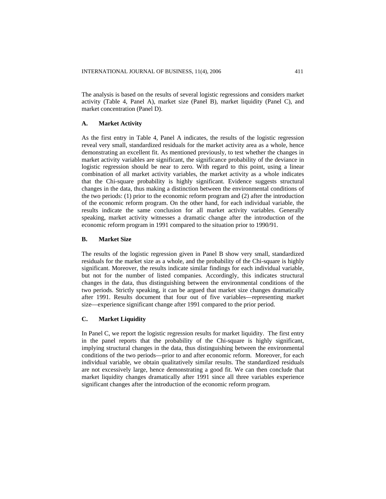The analysis is based on the results of several logistic regressions and considers market activity (Table 4, Panel A), market size (Panel B), market liquidity (Panel C), and market concentration (Panel D).

## **A. Market Activity**

As the first entry in Table 4, Panel A indicates, the results of the logistic regression reveal very small, standardized residuals for the market activity area as a whole, hence demonstrating an excellent fit. As mentioned previously, to test whether the changes in market activity variables are significant, the significance probability of the deviance in logistic regression should be near to zero. With regard to this point, using a linear combination of all market activity variables, the market activity as a whole indicates that the Chi-square probability is highly significant. Evidence suggests structural changes in the data, thus making a distinction between the environmental conditions of the two periods: (1) prior to the economic reform program and (2) after the introduction of the economic reform program. On the other hand, for each individual variable, the results indicate the same conclusion for all market activity variables. Generally speaking, market activity witnesses a dramatic change after the introduction of the economic reform program in 1991 compared to the situation prior to 1990/91.

#### **B. Market Size**

The results of the logistic regression given in Panel B show very small, standardized residuals for the market size as a whole, and the probability of the Chi-square is highly significant. Moreover, the results indicate similar findings for each individual variable, but not for the number of listed companies. Accordingly, this indicates structural changes in the data, thus distinguishing between the environmental conditions of the two periods. Strictly speaking, it can be argued that market size changes dramatically after 1991. Results document that four out of five variables—representing market size—experience significant change after 1991 compared to the prior period.

# **C. Market Liquidity**

In Panel C, we report the logistic regression results for market liquidity. The first entry in the panel reports that the probability of the Chi-square is highly significant, implying structural changes in the data, thus distinguishing between the environmental conditions of the two periods—prior to and after economic reform. Moreover, for each individual variable, we obtain qualitatively similar results. The standardized residuals are not excessively large, hence demonstrating a good fit. We can then conclude that market liquidity changes dramatically after 1991 since all three variables experience significant changes after the introduction of the economic reform program.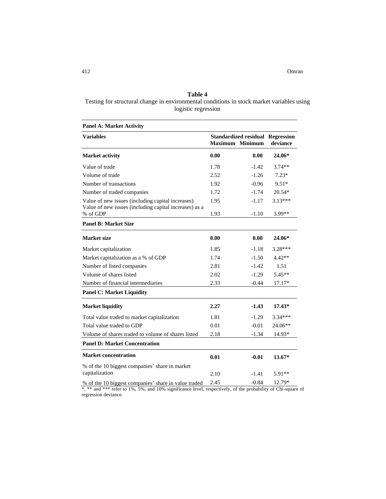# **Table 4**

Testing for structural change in environmental conditions in stock market variables using logistic regression

| <b>Panel A: Market Activity</b>                                                                             |                                                                   |         |           |  |
|-------------------------------------------------------------------------------------------------------------|-------------------------------------------------------------------|---------|-----------|--|
| <b>Variables</b>                                                                                            | <b>Standardized residual Regression</b><br><b>Maximum Minimum</b> |         | deviance  |  |
| <b>Market activity</b>                                                                                      | 0.00                                                              | 0.00    | 24.06*    |  |
| Value of trade                                                                                              | 1.78                                                              | $-1.42$ | $3.74**$  |  |
| Volume of trade                                                                                             | 2.52                                                              | $-1.26$ | $7.23*$   |  |
| Number of transactions                                                                                      | 1.92                                                              | $-0.96$ | $9.51*$   |  |
| Number of traded companies                                                                                  | 1.72                                                              | $-1.74$ | $20.54*$  |  |
| Value of new issues (including capital increases)<br>Value of new issues (including capital increases) as a | 1.95                                                              | $-1.17$ | $3.13***$ |  |
| % of GDP                                                                                                    | 1.93                                                              | $-1.10$ | 3.99**    |  |
| <b>Panel B: Market Size</b>                                                                                 |                                                                   |         |           |  |
| <b>Market size</b>                                                                                          | 0.00                                                              | 0.00    | 24.06*    |  |
| Market capitalization                                                                                       | 1.85                                                              | $-1.18$ | 3.28***   |  |
| Market capitalization as a % of GDP                                                                         | 1.74                                                              | $-1.50$ | $4.42**$  |  |
| Number of listed companies                                                                                  | 2.81                                                              | $-1.42$ | 1.51      |  |
| Volume of shares listed                                                                                     | 2.02                                                              | $-1.29$ | $5.45**$  |  |
| Number of financial intermediaries                                                                          | 2.33                                                              | $-0.44$ | $17.17*$  |  |
| <b>Panel C: Market Liquidity</b>                                                                            |                                                                   |         |           |  |
| <b>Market liquidity</b>                                                                                     | 2.27                                                              | $-1.43$ | $17.43*$  |  |
| Total value traded to market capitalization                                                                 | 1.81                                                              | $-1.29$ | $3.34***$ |  |
| Total value traded to GDP                                                                                   | 0.01                                                              | $-0.01$ | 24.06**   |  |
| Volume of shares traded to volume of shares listed                                                          | 2.18                                                              | $-1.34$ | 14.93*    |  |
| <b>Panel D: Market Concentration</b>                                                                        |                                                                   |         |           |  |
| <b>Market concentration</b>                                                                                 | 0.01                                                              | $-0.01$ | $13.67*$  |  |
| % of the 10 biggest companies' share in market                                                              |                                                                   |         |           |  |
| capitalization                                                                                              | 2.10                                                              | $-1.41$ | $5.91**$  |  |
| % of the 10 biggest companies' share in value traded                                                        | 2.45                                                              | $-0.84$ | 12.79*    |  |

\*, \*\* and \*\*\* refer to 1%, 5%, and 10% significance level, respectively, of the probability of Chi-square of regression deviance.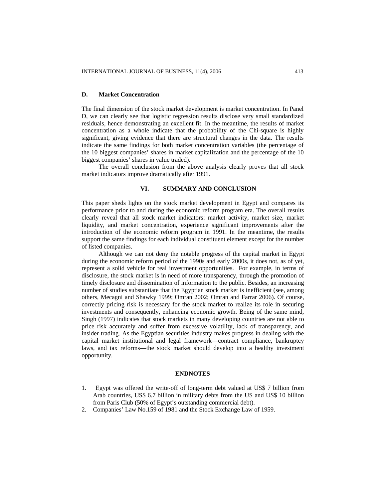## **D. Market Concentration**

The final dimension of the stock market development is market concentration. In Panel D, we can clearly see that logistic regression results disclose very small standardized residuals, hence demonstrating an excellent fit. In the meantime, the results of market concentration as a whole indicate that the probability of the Chi-square is highly significant, giving evidence that there are structural changes in the data. The results indicate the same findings for both market concentration variables (the percentage of the 10 biggest companies' shares in market capitalization and the percentage of the 10 biggest companies' shares in value traded).

The overall conclusion from the above analysis clearly proves that all stock market indicators improve dramatically after 1991.

## **VI. SUMMARY AND CONCLUSION**

This paper sheds lights on the stock market development in Egypt and compares its performance prior to and during the economic reform program era. The overall results clearly reveal that all stock market indicators: market activity, market size, market liquidity, and market concentration, experience significant improvements after the introduction of the economic reform program in 1991. In the meantime, the results support the same findings for each individual constituent element except for the number of listed companies.

 Although we can not deny the notable progress of the capital market in Egypt during the economic reform period of the 1990s and early 2000s, it does not, as of yet, represent a solid vehicle for real investment opportunities. For example, in terms of disclosure, the stock market is in need of more transparency, through the promotion of timely disclosure and dissemination of information to the public. Besides, an increasing number of studies substantiate that the Egyptian stock market is inefficient (see, among others, Mecagni and Shawky 1999; Omran 2002; Omran and Farrar 2006). Of course, correctly pricing risk is necessary for the stock market to realize its role in securing investments and consequently, enhancing economic growth. Being of the same mind, Singh (1997) indicates that stock markets in many developing countries are not able to price risk accurately and suffer from excessive volatility, lack of transparency, and insider trading. As the Egyptian securities industry makes progress in dealing with the capital market institutional and legal framework—contract compliance, bankruptcy laws, and tax reforms—the stock market should develop into a healthy investment opportunity.

#### **ENDNOTES**

- 1. Egypt was offered the write-off of long-term debt valued at US\$ 7 billion from Arab countries, US\$ 6.7 billion in military debts from the US and US\$ 10 billion from Paris Club (50% of Egypt's outstanding commercial debt).
- 2. Companies' Law No.159 of 1981 and the Stock Exchange Law of 1959.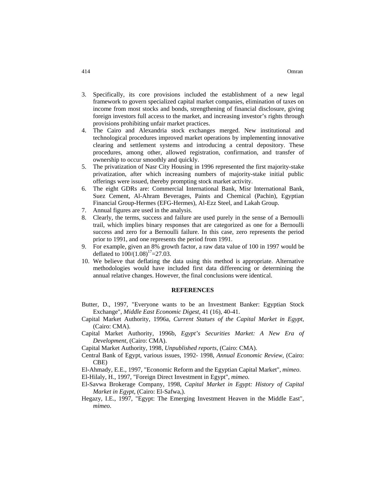- 3. Specifically, its core provisions included the establishment of a new legal framework to govern specialized capital market companies, elimination of taxes on income from most stocks and bonds, strengthening of financial disclosure, giving foreign investors full access to the market, and increasing investor's rights through provisions prohibiting unfair market practices.
- 4. The Cairo and Alexandria stock exchanges merged. New institutional and technological procedures improved market operations by implementing innovative clearing and settlement systems and introducing a central depository. These procedures, among other, allowed registration, confirmation, and transfer of ownership to occur smoothly and quickly.
- 5. The privatization of Nasr City Housing in 1996 represented the first majority-stake privatization, after which increasing numbers of majority-stake initial public offerings were issued, thereby prompting stock market activity.
- 6. The eight GDRs are: Commercial International Bank, Misr International Bank, Suez Cement, Al-Ahram Beverages, Paints and Chemical (Pachin), Egyptian Financial Group-Hermes (EFG-Hermes), Al-Ezz Steel, and Lakah Group.
- 7. Annual figures are used in the analysis.
- 8. Clearly, the terms, success and failure are used purely in the sense of a Bernoulli trail, which implies binary responses that are categorized as one for a Bernoulli success and zero for a Bernoulli failure. In this case, zero represents the period prior to 1991, and one represents the period from 1991.
- 9. For example, given an 8% growth factor, a raw data value of 100 in 1997 would be deflated to  $100/(1.08)^{17}$ =27.03.
- 10. We believe that deflating the data using this method is appropriate. Alternative methodologies would have included first data differencing or determining the annual relative changes. However, the final conclusions were identical.

#### **REFERENCES**

- Butter, D., 1997, "Everyone wants to be an Investment Banker: Egyptian Stock Exchange", *Middle East Economic Digest*, 41 (16), 40-41.
- Capital Market Authority, 1996a, *Current Statues of the Capital Market in Egypt*, (Cairo: CMA).
- Capital Market Authority, 1996b, *Egypt's Securities Market: A New Era of Development*, (Cairo: CMA).
- Capital Market Authority, 1998, *Unpublished reports*, (Cairo: CMA).
- Central Bank of Egypt, various issues, 1992- 1998, *Annual Economic Review*, (Cairo: CBE)
- El-Ahmady, E.E., 1997, "Economic Reform and the Egyptian Capital Market", *mimeo*.
- El-Hilaly, H., 1997, "Foreign Direct Investment in Egypt", *mimeo.*
- El-Savwa Brokerage Company, 1998, *Capital Market in Egypt: History of Capital Market in Egypt*, (Cairo: El-Safwa,).
- Hegazy, I.E., 1997, "Egypt: The Emerging Investment Heaven in the Middle East", *mimeo*.